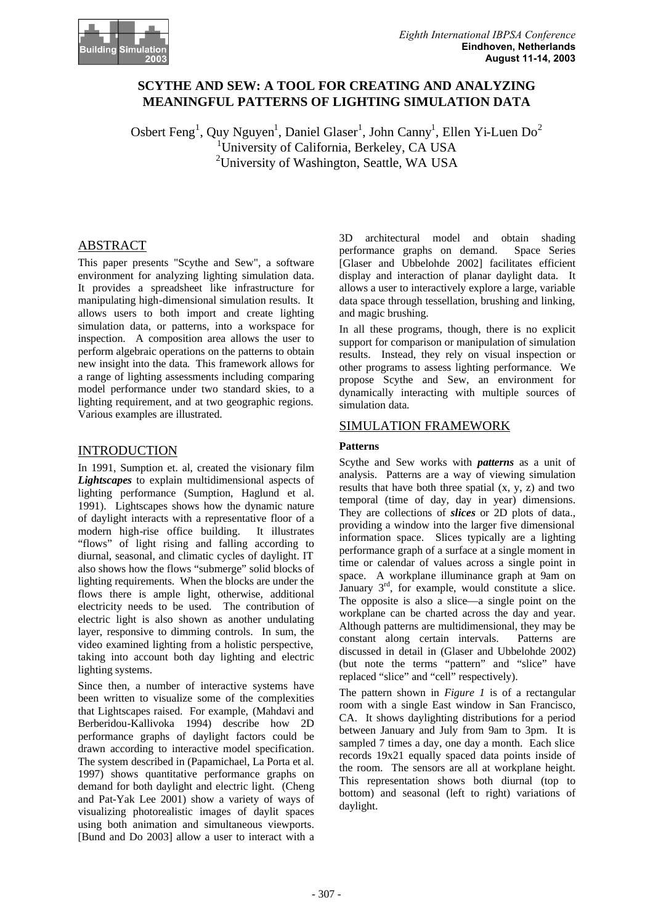

# **SCYTHE AND SEW: A TOOL FOR CREATING AND ANALYZING MEANINGFUL PATTERNS OF LIGHTING SIMULATION DATA**

Osbert Feng<sup>1</sup>, Quy Nguyen<sup>1</sup>, Daniel Glaser<sup>1</sup>, John Canny<sup>1</sup>, Ellen Yi-Luen Do<sup>2</sup> <sup>1</sup>University of California, Berkeley, CA USA <sup>2</sup>University of Washington, Seattle, WA USA

## ABSTRACT

This paper presents "Scythe and Sew", a software environment for analyzing lighting simulation data. It provides a spreadsheet like infrastructure for manipulating high-dimensional simulation results. It allows users to both import and create lighting simulation data, or patterns, into a workspace for inspection. A composition area allows the user to perform algebraic operations on the patterns to obtain new insight into the data. This framework allows for a range of lighting assessments including comparing model performance under two standard skies, to a lighting requirement, and at two geographic regions. Various examples are illustrated.

## INTRODUCTION

In 1991, Sumption et. al, created the visionary film *Lightscapes* to explain multidimensional aspects of lighting performance (Sumption, Haglund et al. 1991). Lightscapes shows how the dynamic nature of daylight interacts with a representative floor of a modern high-rise office building. It illustrates "flows" of light rising and falling according to diurnal, seasonal, and climatic cycles of daylight. IT also shows how the flows "submerge" solid blocks of lighting requirements. When the blocks are under the flows there is ample light, otherwise, additional electricity needs to be used. The contribution of electric light is also shown as another undulating layer, responsive to dimming controls. In sum, the video examined lighting from a holistic perspective, taking into account both day lighting and electric lighting systems.

Since then, a number of interactive systems have been written to visualize some of the complexities that Lightscapes raised. For example, (Mahdavi and Berberidou-Kallivoka 1994) describe how 2D performance graphs of daylight factors could be drawn according to interactive model specification. The system described in (Papamichael, La Porta et al. 1997) shows quantitative performance graphs on demand for both daylight and electric light. (Cheng and Pat-Yak Lee 2001) show a variety of ways of visualizing photorealistic images of daylit spaces using both animation and simultaneous viewports. [Bund and Do 2003] allow a user to interact with a 3D architectural model and obtain shading performance graphs on demand. [Glaser and Ubbelohde 2002] facilitates efficient display and interaction of planar daylight data. It allows a user to interactively explore a large, variable data space through tessellation, brushing and linking, and magic brushing.

In all these programs, though, there is no explicit support for comparison or manipulation of simulation results. Instead, they rely on visual inspection or other programs to assess lighting performance. We propose Scythe and Sew, an environment for dynamically interacting with multiple sources of simulation data.

## SIMULATION FRAMEWORK

### **Patterns**

Scythe and Sew works with *patterns* as a unit of analysis. Patterns are a way of viewing simulation results that have both three spatial (x, y, z) and two temporal (time of day, day in year) dimensions. They are collections of *slices* or 2D plots of data., providing a window into the larger five dimensional information space. Slices typically are a lighting performance graph of a surface at a single moment in time or calendar of values across a single point in space. A workplane illuminance graph at 9am on January  $3<sup>rd</sup>$ , for example, would constitute a slice. The opposite is also a slice—a single point on the workplane can be charted across the day and year. Although patterns are multidimensional, they may be constant along certain intervals. Patterns are discussed in detail in (Glaser and Ubbelohde 2002) (but note the terms "pattern" and "slice" have replaced "slice" and "cell" respectively).

The pattern shown in *Figure 1* is of a rectangular room with a single East window in San Francisco, CA. It shows daylighting distributions for a period between January and July from 9am to 3pm. It is sampled 7 times a day, one day a month. Each slice records 19x21 equally spaced data points inside of the room. The sensors are all at workplane height. This representation shows both diurnal (top to bottom) and seasonal (left to right) variations of daylight.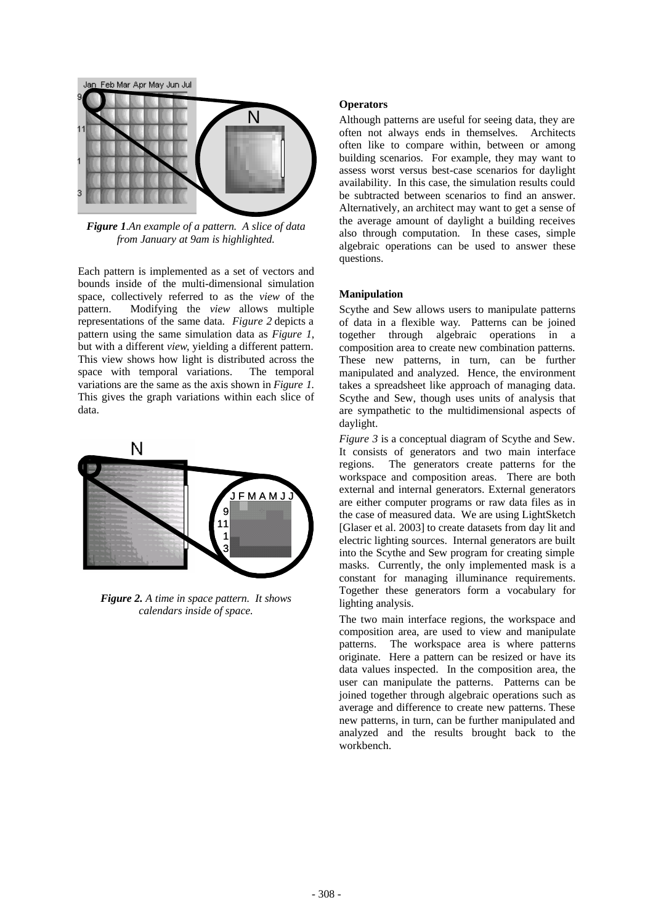

*Figure 1.An example of a pattern. A slice of data from January at 9am is highlighted.*

Each pattern is implemented as a set of vectors and bounds inside of the multi-dimensional simulation space, collectively referred to as the *view* of the pattern. Modifying the *view* allows multiple representations of the same data. *Figure 2* depicts a pattern using the same simulation data as *Figure 1*, but with a different *view*, yielding a different pattern. This view shows how light is distributed across the space with temporal variations. The temporal variations are the same as the axis shown in *Figure 1.*  This gives the graph variations within each slice of data.



*Figure 2. A time in space pattern. It shows calendars inside of space.*

### **Operators**

Although patterns are useful for seeing data, they are often not always ends in themselves. Architects often like to compare within, between or among building scenarios. For example, they may want to assess worst versus best-case scenarios for daylight availability. In this case, the simulation results could be subtracted between scenarios to find an answer. Alternatively, an architect may want to get a sense of the average amount of daylight a building receives also through computation. In these cases, simple algebraic operations can be used to answer these questions.

## **Manipulation**

Scythe and Sew allows users to manipulate patterns of data in a flexible way. Patterns can be joined together through algebraic operations in a composition area to create new combination patterns. These new patterns, in turn, can be further manipulated and analyzed. Hence, the environment takes a spreadsheet like approach of managing data. Scythe and Sew, though uses units of analysis that are sympathetic to the multidimensional aspects of daylight.

*Figure 3* is a conceptual diagram of Scythe and Sew. It consists of generators and two main interface regions. The generators create patterns for the workspace and composition areas. There are both external and internal generators. External generators are either computer programs or raw data files as in the case of measured data. We are using LightSketch [Glaser et al. 2003] to create datasets from day lit and electric lighting sources. Internal generators are built into the Scythe and Sew program for creating simple masks. Currently, the only implemented mask is a constant for managing illuminance requirements. Together these generators form a vocabulary for lighting analysis.

The two main interface regions, the workspace and composition area, are used to view and manipulate patterns. The workspace area is where patterns originate. Here a pattern can be resized or have its data values inspected. In the composition area, the user can manipulate the patterns. Patterns can be joined together through algebraic operations such as average and difference to create new patterns. These new patterns, in turn, can be further manipulated and analyzed and the results brought back to the workbench.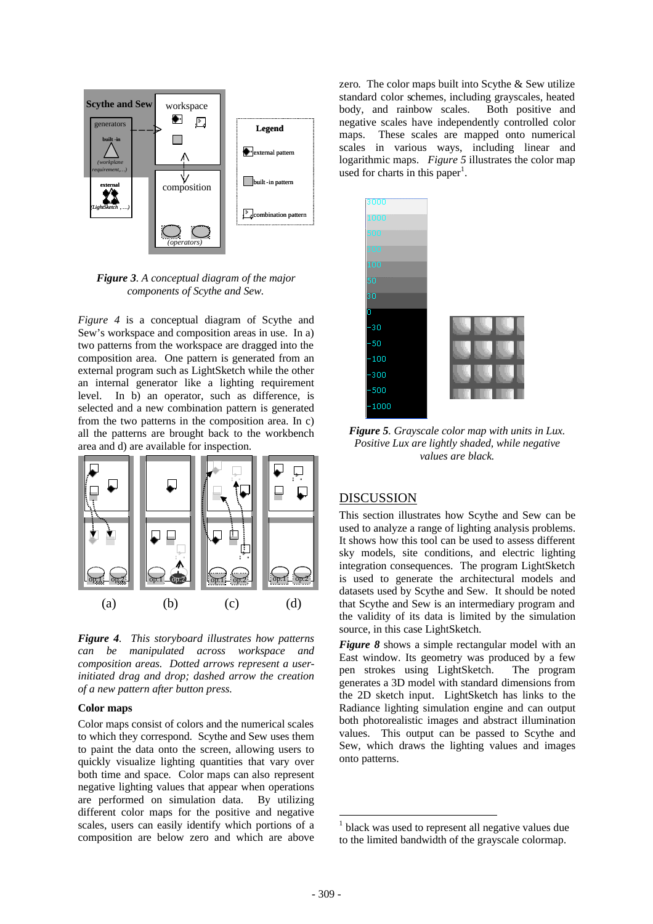

*Figure 3. A conceptual diagram of the major components of Scythe and Sew.*

*Figure 4* is a conceptual diagram of Scythe and Sew's workspace and composition areas in use. In a) two patterns from the workspace are dragged into the composition area. One pattern is generated from an external program such as LightSketch while the other an internal generator like a lighting requirement level. In b) an operator, such as difference, is selected and a new combination pattern is generated from the two patterns in the composition area. In c) all the patterns are brought back to the workbench area and d) are available for inspection.



*Figure 4. This storyboard illustrates how patterns can be manipulated across workspace and composition areas. Dotted arrows represent a userinitiated drag and drop; dashed arrow the creation of a new pattern after button press.* 

### **Color maps**

Color maps consist of colors and the numerical scales to which they correspond. Scythe and Sew uses them to paint the data onto the screen, allowing users to quickly visualize lighting quantities that vary over both time and space. Color maps can also represent negative lighting values that appear when operations are performed on simulation data. By utilizing different color maps for the positive and negative scales, users can easily identify which portions of a composition are below zero and which are above zero. The color maps built into Scythe & Sew utilize standard color schemes, including grayscales, heated body, and rainbow scales. Both positive and negative scales have independently controlled color maps. These scales are mapped onto numerical scales in various ways, including linear and logarithmic maps. *Figure 5* illustrates the color map used for charts in this paper<sup>1</sup>.



*Figure 5. Grayscale color map with units in Lux. Positive Lux are lightly shaded, while negative values are black.*

# DISCUSSION

This section illustrates how Scythe and Sew can be used to analyze a range of lighting analysis problems. It shows how this tool can be used to assess different sky models, site conditions, and electric lighting integration consequences. The program LightSketch is used to generate the architectural models and datasets used by Scythe and Sew. It should be noted that Scythe and Sew is an intermediary program and the validity of its data is limited by the simulation source, in this case LightSketch.

*Figure 8* shows a simple rectangular model with an East window. Its geometry was produced by a few pen strokes using LightSketch. The program generates a 3D model with standard dimensions from the 2D sketch input. LightSketch has links to the Radiance lighting simulation engine and can output both photorealistic images and abstract illumination values. This output can be passed to Scythe and Sew, which draws the lighting values and images onto patterns.

 $\overline{a}$ 

<sup>&</sup>lt;sup>1</sup> black was used to represent all negative values due to the limited bandwidth of the grayscale colormap.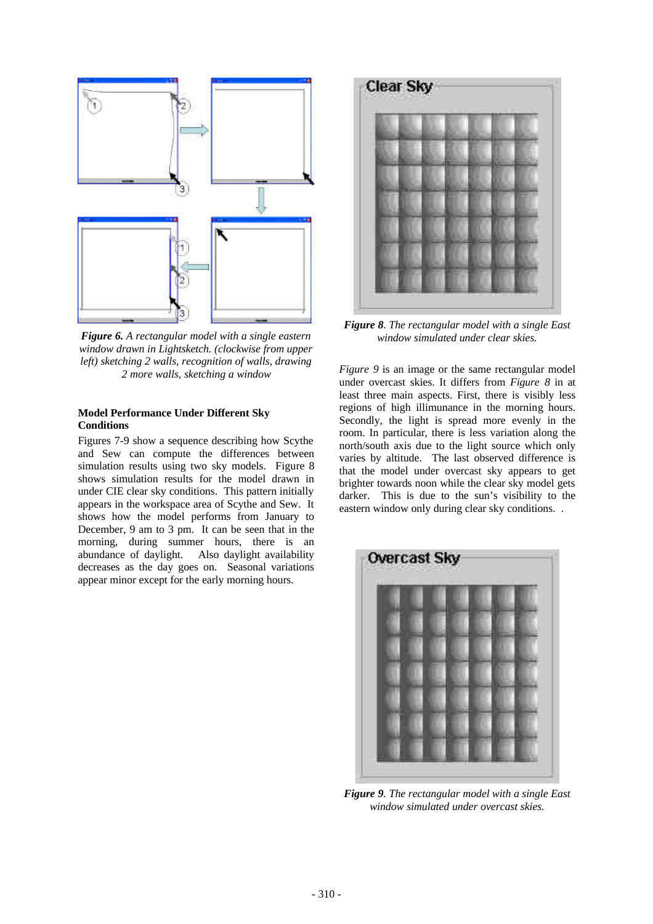

*Figure 6. A rectangular model with a single eastern window drawn in Lightsketch. (clockwise from upper left) sketching 2 walls, recognition of walls, drawing 2 more walls, sketching a window*

### **Model Performance Under Different Sky Conditions**

Figures 7-9 show a sequence describing how Scythe and Sew can compute the differences between simulation results using two sky models. Figure 8 shows simulation results for the model drawn in under CIE clear sky conditions. This pattern initially appears in the workspace area of Scythe and Sew. It shows how the model performs from January to December, 9 am to 3 pm. It can be seen that in the morning, during summer hours, there is an abundance of daylight. Also daylight availability decreases as the day goes on. Seasonal variations appear minor except for the early morning hours.



*Figure 8. The rectangular model with a single East window simulated under clear skies.* 

*Figure 9* is an image or the same rectangular model under overcast skies. It differs from *Figure 8* in at least three main aspects. First, there is visibly less regions of high illimunance in the morning hours. Secondly, the light is spread more evenly in the room. In particular, there is less variation along the north/south axis due to the light source which only varies by altitude. The last observed difference is that the model under overcast sky appears to get brighter towards noon while the clear sky model gets darker. This is due to the sun's visibility to the eastern window only during clear sky conditions. .



*Figure 9. The rectangular model with a single East window simulated under overcast skies.*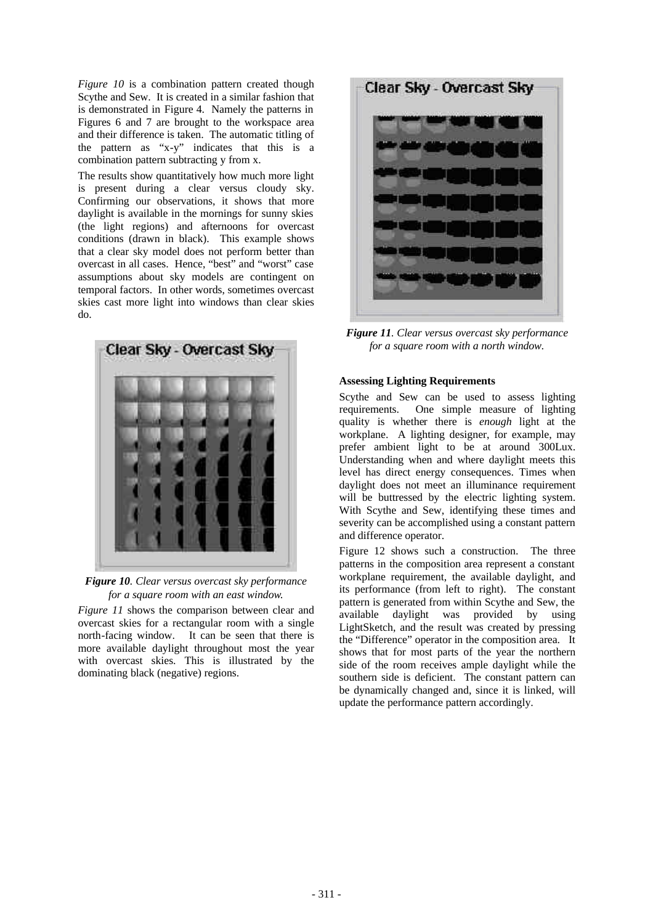*Figure 10* is a combination pattern created though Scythe and Sew. It is created in a similar fashion that is demonstrated in Figure 4. Namely the patterns in Figures 6 and 7 are brought to the workspace area and their difference is taken. The automatic titling of the pattern as "x-y" indicates that this is a combination pattern subtracting y from x.

The results show quantitatively how much more light is present during a clear versus cloudy sky. Confirming our observations, it shows that more daylight is available in the mornings for sunny skies (the light regions) and afternoons for overcast conditions (drawn in black). This example shows that a clear sky model does not perform better than overcast in all cases. Hence, "best" and "worst" case assumptions about sky models are contingent on temporal factors. In other words, sometimes overcast skies cast more light into windows than clear skies do.



*Figure 10. Clear versus overcast sky performance for a square room with an east window.*

*Figure 11* shows the comparison between clear and overcast skies for a rectangular room with a single north-facing window. It can be seen that there is more available daylight throughout most the year with overcast skies. This is illustrated by the dominating black (negative) regions.



*Figure 11. Clear versus overcast sky performance for a square room with a north window.*

#### **Assessing Lighting Requirements**

Scythe and Sew can be used to assess lighting requirements. One simple measure of lighting quality is whether there is *enough* light at the workplane. A lighting designer, for example, may prefer ambient light to be at around 300Lux. Understanding when and where daylight meets this level has direct energy consequences. Times when daylight does not meet an illuminance requirement will be buttressed by the electric lighting system. With Scythe and Sew, identifying these times and severity can be accomplished using a constant pattern and difference operator.

Figure 12 shows such a construction. The three patterns in the composition area represent a constant workplane requirement, the available daylight, and its performance (from left to right). The constant pattern is generated from within Scythe and Sew, the available daylight was provided by using LightSketch, and the result was created by pressing the "Difference" operator in the composition area. It shows that for most parts of the year the northern side of the room receives ample daylight while the southern side is deficient. The constant pattern can be dynamically changed and, since it is linked, will update the performance pattern accordingly.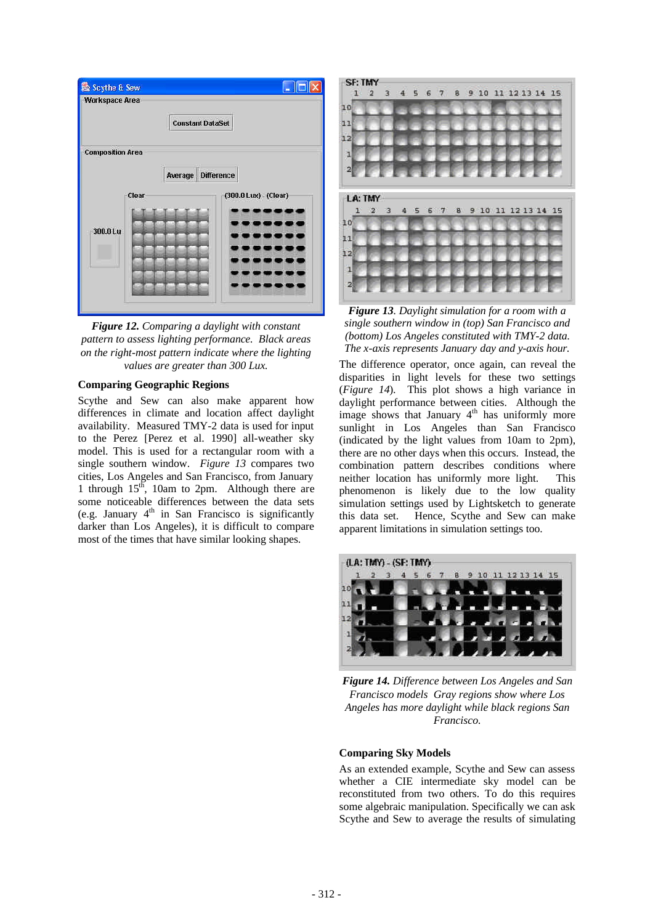



#### **Comparing Geographic Regions**

Scythe and Sew can also make apparent how differences in climate and location affect daylight availability. Measured TMY-2 data is used for input to the Perez [Perez et al. 1990] all-weather sky model. This is used for a rectangular room with a single southern window. *Figure 13* compares two cities, Los Angeles and San Francisco, from January 1 through  $15<sup>th</sup>$ , 10am to 2pm. Although there are some noticeable differences between the data sets (e.g. January  $4<sup>th</sup>$  in San Francisco is significantly darker than Los Angeles), it is difficult to compare most of the times that have similar looking shapes.



*Figure 13. Daylight simulation for a room with a single southern window in (top) San Francisco and (bottom) Los Angeles constituted with TMY-2 data. The x-axis represents January day and y-axis hour.*

The difference operator, once again, can reveal the disparities in light levels for these two settings (*Figure 14*). This plot shows a high variance in daylight performance between cities. Although the image shows that January  $4<sup>th</sup>$  has uniformly more sunlight in Los Angeles than San Francisco (indicated by the light values from 10am to 2pm), there are no other days when this occurs. Instead, the combination pattern describes conditions where neither location has uniformly more light. This phenomenon is likely due to the low quality simulation settings used by Lightsketch to generate this data set. Hence, Scythe and Sew can make apparent limitations in simulation settings too.



*Figure 14. Difference between Los Angeles and San Francisco models Gray regions show where Los Angeles has more daylight while black regions San Francisco.* 

#### **Comparing Sky Models**

As an extended example, Scythe and Sew can assess whether a CIE intermediate sky model can be reconstituted from two others. To do this requires some algebraic manipulation. Specifically we can ask Scythe and Sew to average the results of simulating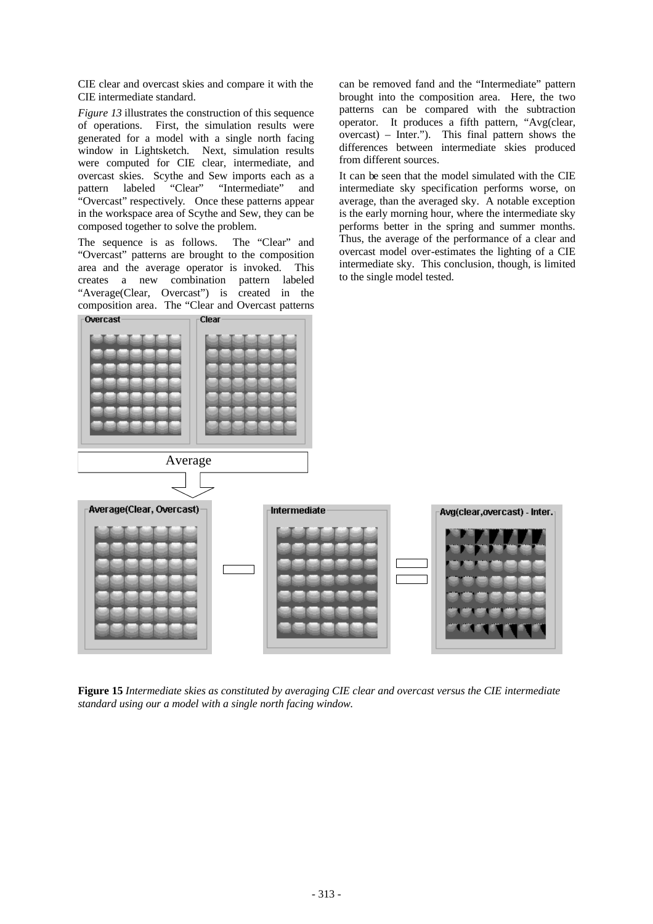CIE clear and overcast skies and compare it with the CIE intermediate standard.

*Figure 13* illustrates the construction of this sequence of operations. First, the simulation results were generated for a model with a single north facing window in Lightsketch. Next, simulation results were computed for CIE clear, intermediate, and overcast skies. Scythe and Sew imports each as a pattern labeled "Clear" "Intermediate" and "Overcast" respectively. Once these patterns appear in the workspace area of Scythe and Sew, they can be composed together to solve the problem.

The sequence is as follows. The "Clear" and "Overcast" patterns are brought to the composition area and the average operator is invoked. This creates a new combination pattern labeled "Average(Clear, Overcast") is created in the composition area. The "Clear and Overcast patterns

can be removed fand and the "Intermediate" pattern brought into the composition area. Here, the two patterns can be compared with the subtraction operator. It produces a fifth pattern, "Avg(clear, overcast) – Inter."). This final pattern shows the differences between intermediate skies produced from different sources.

It can be seen that the model simulated with the CIE intermediate sky specification performs worse, on average, than the averaged sky. A notable exception is the early morning hour, where the intermediate sky performs better in the spring and summer months. Thus, the average of the performance of a clear and overcast model over-estimates the lighting of a CIE intermediate sky. This conclusion, though, is limited to the single model tested.



**Figure 15** *Intermediate skies as constituted by averaging CIE clear and overcast versus the CIE intermediate standard using our a model with a single north facing window.*